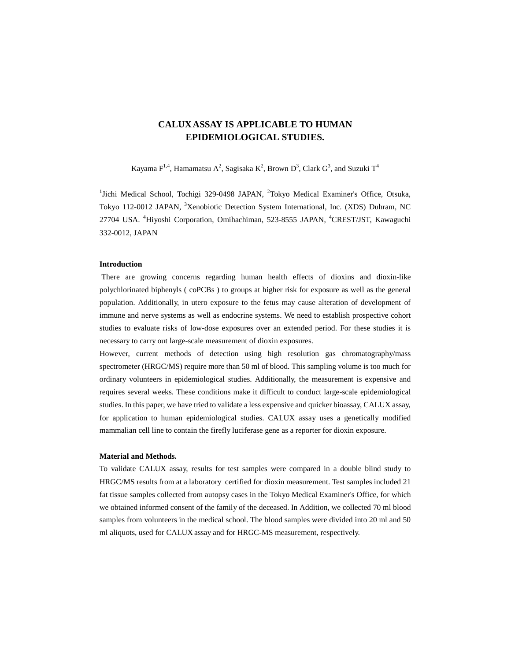# **CALUXASSAY IS APPLICABLE TO HUMAN EPIDEMIOLOGICAL STUDIES.**

Kayama  $F^{1,4}$ , Hamamatsu A<sup>2</sup>, Sagisaka K<sup>2</sup>, Brown D<sup>3</sup>, Clark G<sup>3</sup>, and Suzuki T<sup>4</sup>

<sup>1</sup>Jichi Medical School, Tochigi 329-0498 JAPAN, <sup>2</sup>Tokyo Medical Examiner's Office, Otsuka, Tokyo 112-0012 JAPAN, <sup>3</sup>Xenobiotic Detection System International, Inc. (XDS) Duhram, NC 27704 USA. <sup>4</sup>Hiyoshi Corporation, Omihachiman, 523-8555 JAPAN, <sup>4</sup>CREST/JST, Kawaguchi 332-0012, JAPAN

## **Introduction**

 There are growing concerns regarding human health effects of dioxins and dioxin-like polychlorinated biphenyls ( coPCBs ) to groups at higher risk for exposure as well as the general population. Additionally, in utero exposure to the fetus may cause alteration of development of immune and nerve systems as well as endocrine systems. We need to establish prospective cohort studies to evaluate risks of low-dose exposures over an extended period. For these studies it is necessary to carry out large-scale measurement of dioxin exposures.

However, current methods of detection using high resolution gas chromatography/mass spectrometer (HRGC/MS) require more than 50 ml of blood. This sampling volume is too much for ordinary volunteers in epidemiological studies. Additionally, the measurement is expensive and requires several weeks. These conditions make it difficult to conduct large-scale epidemiological studies. In this paper, we have tried to validate a less expensive and quicker bioassay, CALUX assay, for application to human epidemiological studies. CALUX assay uses a genetically modified mammalian cell line to contain the firefly luciferase gene as a reporter for dioxin exposure.

### **Material and Methods.**

To validate CALUX assay, results for test samples were compared in a double blind study to HRGC/MS results from at a laboratory certified for dioxin measurement. Test samples included 21 fat tissue samples collected from autopsy cases in the Tokyo Medical Examiner's Office, for which we obtained informed consent of the family of the deceased. In Addition, we collected 70 ml blood samples from volunteers in the medical school. The blood samples were divided into 20 ml and 50 ml aliquots, used for CALUX assay and for HRGC-MS measurement, respectively.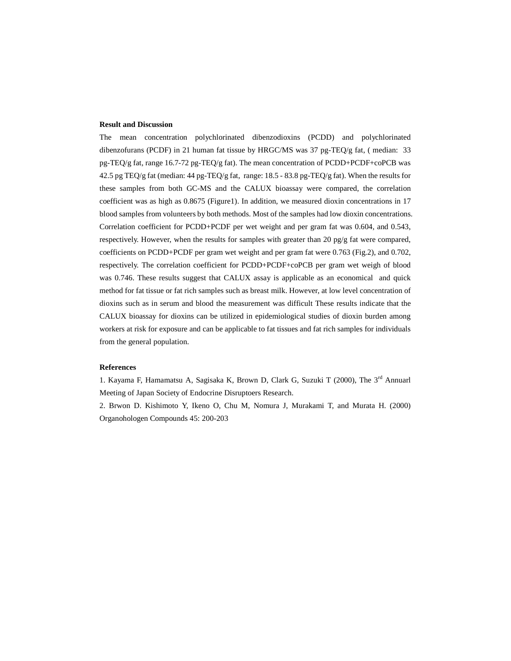### **Result and Discussion**

The mean concentration polychlorinated dibenzodioxins (PCDD) and polychlorinated dibenzofurans (PCDF) in 21 human fat tissue by HRGC/MS was 37 pg-TEQ/g fat, ( median: 33 pg-TEQ/g fat, range 16.7-72 pg-TEQ/g fat). The mean concentration of PCDD+PCDF+coPCB was 42.5 pg TEQ/g fat (median:  $44$  pg-TEQ/g fat, range: 18.5 - 83.8 pg-TEQ/g fat). When the results for these samples from both GC-MS and the CALUX bioassay were compared, the correlation coefficient was as high as 0.8675 (Figure1). In addition, we measured dioxin concentrations in 17 blood samples from volunteers by both methods. Most of the samples had low dioxin concentrations. Correlation coefficient for PCDD+PCDF per wet weight and per gram fat was 0.604, and 0.543, respectively. However, when the results for samples with greater than 20 pg/g fat were compared, coefficients on PCDD+PCDF per gram wet weight and per gram fat were 0.763 (Fig.2), and 0.702, respectively. The correlation coefficient for PCDD+PCDF+coPCB per gram wet weigh of blood was 0.746. These results suggest that CALUX assay is applicable as an economical and quick method for fat tissue or fat rich samples such as breast milk. However, at low level concentration of dioxins such as in serum and blood the measurement was difficult These results indicate that the CALUX bioassay for dioxins can be utilized in epidemiological studies of dioxin burden among workers at risk for exposure and can be applicable to fat tissues and fat rich samples for individuals from the general population.

## **References**

1. Kayama F, Hamamatsu A, Sagisaka K, Brown D, Clark G, Suzuki T (2000), The 3rd Annuarl Meeting of Japan Society of Endocrine Disruptoers Research.

2. Brwon D. Kishimoto Y, Ikeno O, Chu M, Nomura J, Murakami T, and Murata H. (2000) Organohologen Compounds 45: 200-203